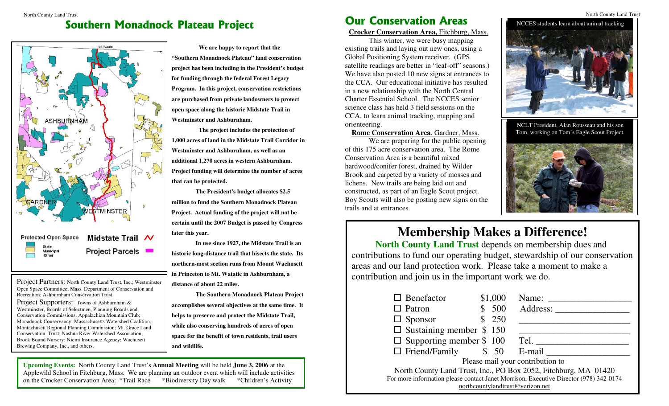## **Southern Monadnock Plateau Project Notifiably 1999 WEIT CONSETVATION Areas**



Project Partners: North County Land Trust, Inc.; Westminster Open Space Committee; Mass. Department of Conservation and Recreation; Ashburnham Conservation Trust.

Project Supporters: Towns of Ashburnham & Westminster, Boards of Selectmen, Planning Boards and Conservation Commissions; Appalachian Mountain Club; Monadnock Conservancy; Massachusetts Watershed Coalition; Montachusett Regional Planning Commission; Mt. Grace Land Conservation Trust; Nashua River Watershed Association; Brook Bound Nursery; Niemi Insurance Agency; Wachusett Brewing Company, Inc., and others.

**We are happy to report that the "Southern Monadnock Plateau" land conservation project has been including in the President's budget for funding through the federal Forest Legacy Program. In this project, conservation restrictions are purchased from private landowners to protect open space along the historic Midstate Trail in Westminster and Ashburnham.** 

 **The project includes the protection of 1,000 acres of land in the Midstate Trail Corridor in Westminster and Ashburnham, as well as an additional 1,270 acres in western Ashburnham. Project funding will determine the number of acres that can be protected.** 

 **The President's budget allocates \$2.5 million to fund the Southern Monadnock Plateau Project. Actual funding of the project will not be certain until the 2007 Budget is passed by Congress later this year.** 

**In use since 1927, the Midstate Trail is an historic long-distance trail that bisects the state. Its northern-most section runs from Mount Wachusett in Princeton to Mt. Watatic in Ashburnham, a distance of about 22 miles.** 

**The Southern Monadnock Plateau Project accomplishes several objectives at the same time. It helps to preserve and protect the Midstate Trail, while also conserving hundreds of acres of open space for the benefit of town residents, trail users and wildlife.** 

**Upcoming Events:** North County Land Trust's **Annual Meeting** will be held **June 3, 2006** at the Applewild School in Fitchburg, Mass. We are planning an outdoor event which will include activities on the Crocker Conservation Area: \*Trail Race \*Biodiversity Day walk \*Children's Activity

#### North County Land Trust North County Land Trust **Our Conservation Areas**

 **Crocker Conservation Area,** Fitchburg, Mass.

This winter, we were busy mapping existing trails and laying out new ones, using a Global Positioning System receiver. (GPS satellite readings are better in "leaf-off" seasons.) We have also posted 10 new signs at entrances to the CCA. Our educational initiative has resulted in a new relationship with the North Central Charter Essential School. The NCCES senior science class has held 3 field sessions on the CCA, to learn animal tracking, mapping and orienteering.

**Rome Conservation Area**, Gardner, Mass.

We are preparing for the public opening of this 175 acre conservation area. The Rome Conservation Area is a beautiful mixed hardwood/conifer forest, drained by Wilder Brook and carpeted by a variety of mosses and lichens. New trails are being laid out and constructed, as part of an Eagle Scout project. Boy Scouts will also be posting new signs on the trails and at entrances.



NCLT President, Alan Rousseau and his son Tom, working on Tom's Eagle Scout Project.



# **Membership Makes a Difference!**

**North County Land Trust** depends on membership dues and contributions to fund our operating budget, stewardship of our conservation areas and our land protection work. Please take a moment to make a contribution and join us in the important work we do.

| $\Box$ Benefactor                                                                     | \$1,000 | Name:    |
|---------------------------------------------------------------------------------------|---------|----------|
| $\Box$ Patron                                                                         | 500     | Address: |
| $\Box$ Sponsor                                                                        | 250     |          |
| $\Box$ Sustaining member \$ 150                                                       |         |          |
| $\Box$ Supporting member \$ 100                                                       |         | Tel.     |
| $\Box$ Friend/Family $\qquad$ \$ 50 E-mail                                            |         |          |
| Please mail your contribution to                                                      |         |          |
| North County Land Trust, Inc., PO Box 2052, Fitchburg, MA 01420                       |         |          |
| For more information please contact Janet Morrison, Executive Director (978) 342-0174 |         |          |
| northcountylandtrust@verizon.net                                                      |         |          |